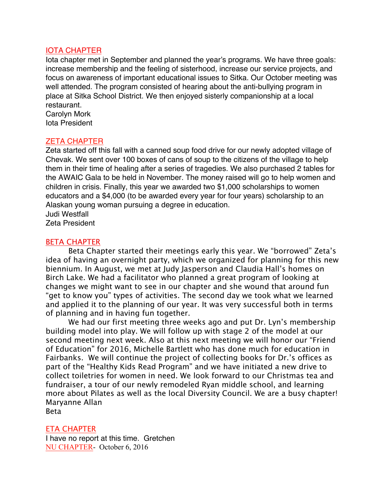## IOTA CHAPTER

Iota chapter met in September and planned the year's programs. We have three goals: increase membership and the feeling of sisterhood, increase our service projects, and focus on awareness of important educational issues to Sitka. Our October meeting was well attended. The program consisted of hearing about the anti-bullying program in place at Sitka School District. We then enjoyed sisterly companionship at a local restaurant.

Carolyn Mork Iota President

# ZETA CHAPTER

Zeta started off this fall with a canned soup food drive for our newly adopted village of Chevak. We sent over 100 boxes of cans of soup to the citizens of the village to help them in their time of healing after a series of tragedies. We also purchased 2 tables for the AWAIC Gala to be held in November. The money raised will go to help women and children in crisis. Finally, this year we awarded two \$1,000 scholarships to women educators and a \$4,000 (to be awarded every year for four years) scholarship to an Alaskan young woman pursuing a degree in education.

Judi Westfall

Zeta President

## BETA CHAPTER

Beta Chapter started their meetings early this year. We "borrowed" Zeta's idea of having an overnight party, which we organized for planning for this new biennium. In August, we met at Judy Jasperson and Claudia Hall's homes on Birch Lake. We had a facilitator who planned a great program of looking at changes we might want to see in our chapter and she wound that around fun "get to know you" types of activities. The second day we took what we learned and applied it to the planning of our year. It was very successful both in terms of planning and in having fun together.

We had our first meeting three weeks ago and put Dr. Lyn's membership building model into play. We will follow up with stage 2 of the model at our second meeting next week. Also at this next meeting we will honor our "Friend of Education" for 2016, Michelle Bartlett who has done much for education in Fairbanks. We will continue the project of collecting books for Dr.'s offices as part of the "Healthy Kids Read Program" and we have initiated a new drive to collect toiletries for women in need. We look forward to our Christmas tea and fundraiser, a tour of our newly remodeled Ryan middle school, and learning more about Pilates as well as the local Diversity Council. We are a busy chapter! Maryanne Allan Beta

ETA CHAPTER

I have no report at this time. Gretchen NU CHAPTER- October 6, 2016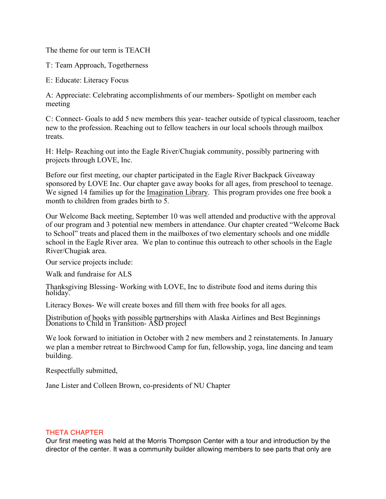The theme for our term is TEACH

T: Team Approach, Togetherness

E: Educate: Literacy Focus

A: Appreciate: Celebrating accomplishments of our members- Spotlight on member each meeting

C: Connect- Goals to add 5 new members this year- teacher outside of typical classroom, teacher new to the profession. Reaching out to fellow teachers in our local schools through mailbox treats.

H: Help- Reaching out into the Eagle River/Chugiak community, possibly partnering with projects through LOVE, Inc.

Before our first meeting, our chapter participated in the Eagle River Backpack Giveaway sponsored by LOVE Inc. Our chapter gave away books for all ages, from preschool to teenage. We signed 14 families up for the Imagination Library. This program provides one free book a month to children from grades birth to 5.

Our Welcome Back meeting, September 10 was well attended and productive with the approval of our program and 3 potential new members in attendance. Our chapter created "Welcome Back to School" treats and placed them in the mailboxes of two elementary schools and one middle school in the Eagle River area. We plan to continue this outreach to other schools in the Eagle River/Chugiak area.

Our service projects include:

Walk and fundraise for ALS

Thanksgiving Blessing- Working with LOVE, Inc to distribute food and items during this holiday.

Literacy Boxes- We will create boxes and fill them with free books for all ages.

Distribution of books with possible partnerships with Alaska Airlines and Best Beginnings Donations to Child in Transition- ASD project

We look forward to initiation in October with 2 new members and 2 reinstatements. In January we plan a member retreat to Birchwood Camp for fun, fellowship, yoga, line dancing and team building.

Respectfully submitted,

Jane Lister and Colleen Brown, co-presidents of NU Chapter

### THETA CHAPTER

Our first meeting was held at the Morris Thompson Center with a tour and introduction by the director of the center. It was a community builder allowing members to see parts that only are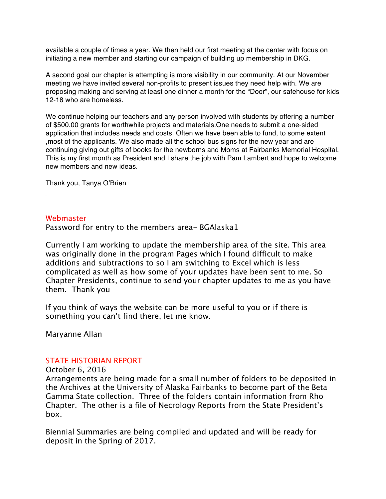available a couple of times a year. We then held our first meeting at the center with focus on initiating a new member and starting our campaign of building up membership in DKG.

A second goal our chapter is attempting is more visibility in our community. At our November meeting we have invited several non-profits to present issues they need help with. We are proposing making and serving at least one dinner a month for the "Door", our safehouse for kids 12-18 who are homeless.

We continue helping our teachers and any person involved with students by offering a number of \$500.00 grants for worthwhile projects and materials.One needs to submit a one-sided application that includes needs and costs. Often we have been able to fund, to some extent ,most of the applicants. We also made all the school bus signs for the new year and are continuing giving out gifts of books for the newborns and Moms at Fairbanks Memorial Hospital. This is my first month as President and I share the job with Pam Lambert and hope to welcome new members and new ideas.

Thank you, Tanya O'Brien

### Webmaster

Password for entry to the members area- BGAlaska1

Currently I am working to update the membership area of the site. This area was originally done in the program Pages which I found difficult to make additions and subtractions to so I am switching to Excel which is less complicated as well as how some of your updates have been sent to me. So Chapter Presidents, continue to send your chapter updates to me as you have them. Thank you

If you think of ways the website can be more useful to you or if there is something you can't find there, let me know.

Maryanne Allan

### STATE HISTORIAN REPORT

October 6, 2016

Arrangements are being made for a small number of folders to be deposited in the Archives at the University of Alaska Fairbanks to become part of the Beta Gamma State collection. Three of the folders contain information from Rho Chapter. The other is a file of Necrology Reports from the State President's box.

Biennial Summaries are being compiled and updated and will be ready for deposit in the Spring of 2017.